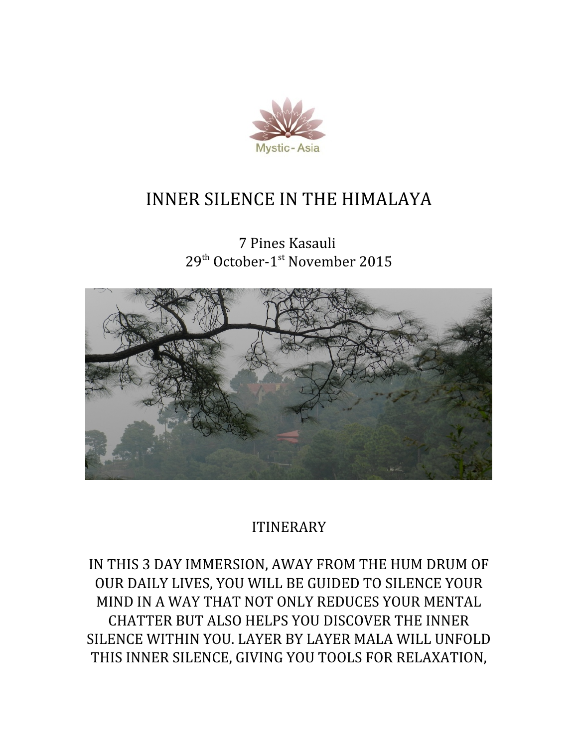

# INNER SILENCE IN THE HIMALAYA

7 Pines Kasauli 29<sup>th</sup> October-1<sup>st</sup> November 2015



## ITINERARY

IN THIS 3 DAY IMMERSION, AWAY FROM THE HUM DRUM OF OUR DAILY LIVES, YOU WILL BE GUIDED TO SILENCE YOUR MIND IN A WAY THAT NOT ONLY REDUCES YOUR MENTAL CHATTER BUT ALSO HELPS YOU DISCOVER THE INNER SILENCE WITHIN YOU. LAYER BY LAYER MALA WILL UNFOLD THIS INNER SILENCE, GIVING YOU TOOLS FOR RELAXATION,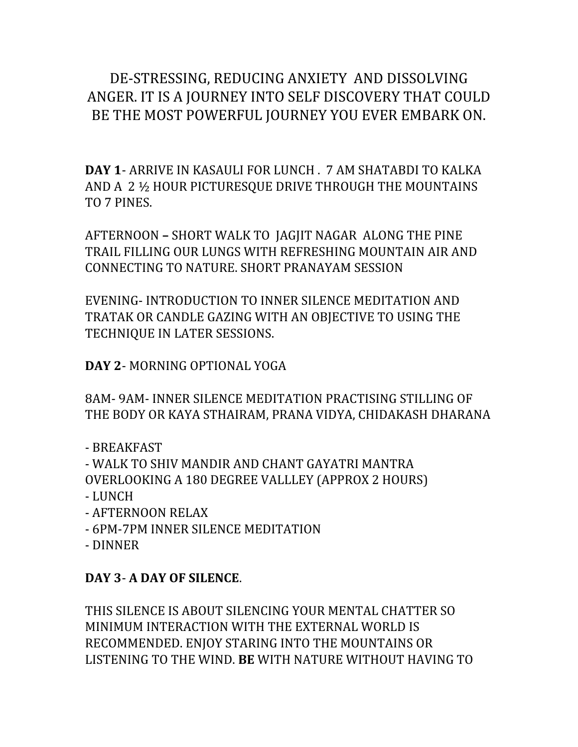## DE-STRESSING, REDUCING ANXIETY AND DISSOLVING ANGER. IT IS A JOURNEY INTO SELF DISCOVERY THAT COULD BE THE MOST POWERFUL JOURNEY YOU EVER EMBARK ON.

**DAY 1**- ARRIVE IN KASAULI FOR LUNCH . 7 AM SHATABDI TO KALKA AND A 2 ½ HOUR PICTURESQUE DRIVE THROUGH THE MOUNTAINS TO 7 PINES.

AFTERNOON **–** SHORT WALK TO JAGJIT NAGARALONG THE PINE TRAIL FILLING OUR LUNGS WITH REFRESHING MOUNTAIN AIR AND CONNECTING TO NATURE. SHORT PRANAYAM SESSION

EVENING- INTRODUCTION TO INNER SILENCE MEDITATION AND TRATAK OR CANDLE GAZING WITH AN OBJECTIVE TO USING THE TECHNIQUE IN LATER SESSIONS.

**DAY 2**- MORNING OPTIONAL YOGA

8AM- 9AM- INNER SILENCE MEDITATION PRACTISING STILLING OF THE BODY OR KAYA STHAIRAM, PRANA VIDYA, CHIDAKASH DHARANA

- BREAKFAST

- WALK TO SHIV MANDIR AND CHANT GAYATRI MANTRA OVERLOOKING A 180 DEGREE VALLLEY (APPROX 2 HOURS) - LUNCH

- AFTERNOON RELAX
- 6PM-7PM INNER SILENCE MEDITATION
- DINNER

#### **DAY 3**- **A DAY OF SILENCE**.

THIS SILENCE IS ABOUT SILENCING YOUR MENTAL CHATTER SO MINIMUM INTERACTION WITH THE EXTERNAL WORLD IS RECOMMENDED. ENJOY STARING INTO THE MOUNTAINS OR LISTENING TO THE WIND. **BE** WITH NATURE WITHOUT HAVING TO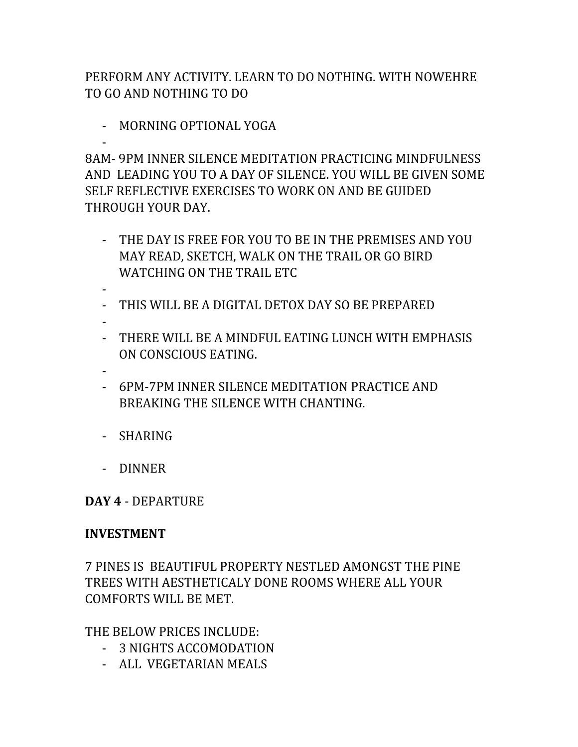PERFORM ANY ACTIVITY. LEARN TO DO NOTHING. WITH NOWEHRE TO GO AND NOTHING TO DO

- MORNING OPTIONAL YOGA

- 8AM- 9PM INNER SILENCE MEDITATION PRACTICING MINDFULNESS AND LEADING YOU TO A DAY OF SILENCE. YOU WILL BE GIVEN SOME SELF REFLECTIVE EXERCISES TO WORK ON AND BE GUIDED THROUGH YOUR DAY.

- THE DAY IS FREE FOR YOU TO BE IN THE PREMISES AND YOU MAY READ, SKETCH, WALK ON THE TRAIL OR GO BIRD WATCHING ON THE TRAIL ETC
- - THIS WILL BE A DIGITAL DETOX DAY SO BE PREPARED
- -
- THERE WILL BE A MINDFUL EATING LUNCH WITH EMPHASIS ON CONSCIOUS EATING.
- -
- 6PM-7PM INNER SILENCE MEDITATION PRACTICE AND BREAKING THE SILENCE WITH CHANTING.
- SHARING
- DINNER

**DAY 4** - DEPARTURE

### **INVESTMENT**

7 PINES IS BEAUTIFUL PROPERTY NESTLED AMONGST THE PINE TREES WITH AESTHETICALY DONE ROOMS WHERE ALL YOUR COMFORTS WILL BE MET.

THE BELOW PRICES INCLUDE:

- 3 NIGHTS ACCOMODATION
- ALL VEGETARIAN MEALS